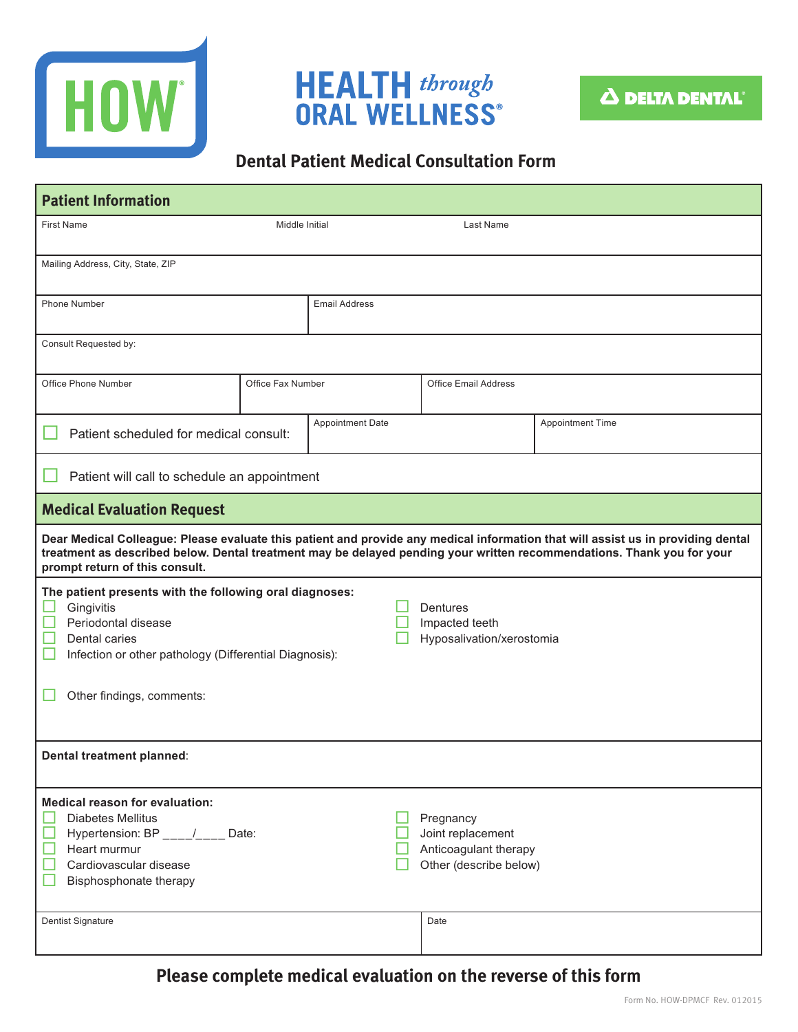





## **Dental Patient Medical Consultation Form**

| <b>Patient Information</b>                                                                                                                                                                                                                                                                   |                                                         |                      |                                                                                   |                         |  |  |
|----------------------------------------------------------------------------------------------------------------------------------------------------------------------------------------------------------------------------------------------------------------------------------------------|---------------------------------------------------------|----------------------|-----------------------------------------------------------------------------------|-------------------------|--|--|
| <b>First Name</b>                                                                                                                                                                                                                                                                            | Middle Initial                                          |                      | Last Name                                                                         |                         |  |  |
| Mailing Address, City, State, ZIP                                                                                                                                                                                                                                                            |                                                         |                      |                                                                                   |                         |  |  |
| <b>Phone Number</b>                                                                                                                                                                                                                                                                          |                                                         | <b>Email Address</b> |                                                                                   |                         |  |  |
| Consult Requested by:                                                                                                                                                                                                                                                                        |                                                         |                      |                                                                                   |                         |  |  |
| Office Phone Number                                                                                                                                                                                                                                                                          | Office Fax Number                                       |                      | <b>Office Email Address</b>                                                       |                         |  |  |
| Patient scheduled for medical consult:                                                                                                                                                                                                                                                       |                                                         | Appointment Date     |                                                                                   | <b>Appointment Time</b> |  |  |
| Patient will call to schedule an appointment                                                                                                                                                                                                                                                 |                                                         |                      |                                                                                   |                         |  |  |
| <b>Medical Evaluation Request</b>                                                                                                                                                                                                                                                            |                                                         |                      |                                                                                   |                         |  |  |
| Dear Medical Colleague: Please evaluate this patient and provide any medical information that will assist us in providing dental<br>treatment as described below. Dental treatment may be delayed pending your written recommendations. Thank you for your<br>prompt return of this consult. |                                                         |                      |                                                                                   |                         |  |  |
| The patient presents with the following oral diagnoses:<br>Gingivitis<br>Periodontal disease<br>Dental caries<br>Infection or other pathology (Differential Diagnosis):                                                                                                                      | Dentures<br>Impacted teeth<br>Hyposalivation/xerostomia |                      |                                                                                   |                         |  |  |
| Other findings, comments:                                                                                                                                                                                                                                                                    |                                                         |                      |                                                                                   |                         |  |  |
| Dental treatment planned:                                                                                                                                                                                                                                                                    |                                                         |                      |                                                                                   |                         |  |  |
| <b>Medical reason for evaluation:</b><br><b>Diabetes Mellitus</b><br>Hypertension: BP ___/___ Date:<br>Heart murmur<br>Cardiovascular disease<br>Bisphosphonate therapy                                                                                                                      |                                                         |                      | Pregnancy<br>Joint replacement<br>Anticoagulant therapy<br>Other (describe below) |                         |  |  |
| Dentist Signature                                                                                                                                                                                                                                                                            |                                                         |                      | Date                                                                              |                         |  |  |